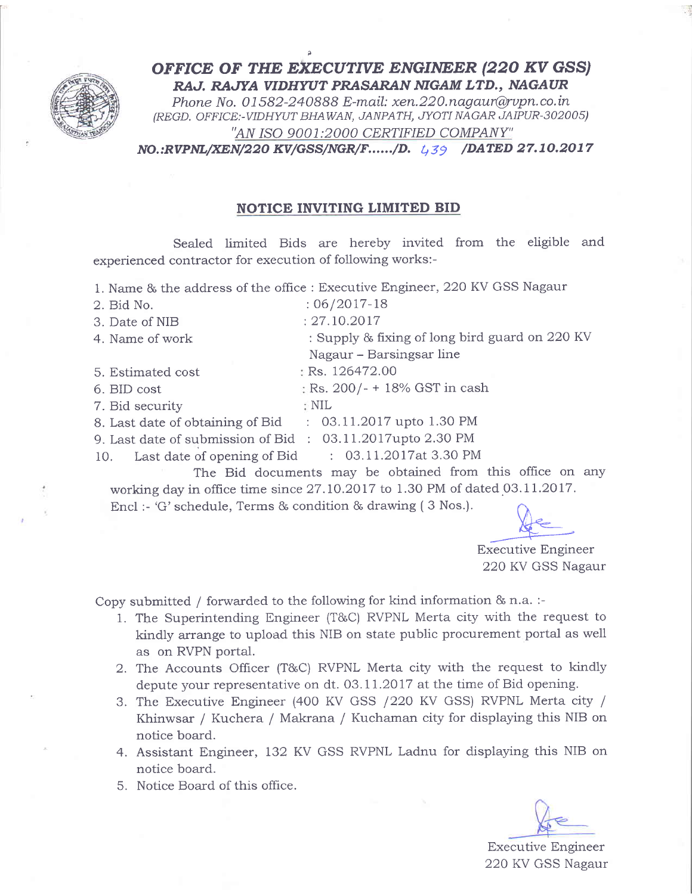

OFFICE OF THE EXECUTIVE ENGINEER (220 KV GSS) RAJ. RAJYA VIDHYUT PRASARAN NIGAM LTD., NAGAUR

Phone No. 01582-240888 E-mail: xen.220.nagaur@rvpn.co.in (REGD. OFFICE:-VIDHWT BHAWAN, JANPATH, JYOTI NAGAR JAIPUR-302005) "AN ISO 9001:2000 CERTIFIED COMPANY"

 $NO.:RVPNL/XEN/220 KV/GSS/NGR/F....../D.$   $4.39$  /DATED 27.10.2017

## NOTICE INVITING LIMITED BID

Sealed limited Bids are hereby invited from the eligible and experienced contractor for execution of following works:-

|                                                            | 1. Name & the address of the office : Executive Engineer, 220 KV GSS Nagaur |  |  |
|------------------------------------------------------------|-----------------------------------------------------------------------------|--|--|
| 2. Bid No.                                                 | $:06/2017-18$                                                               |  |  |
| 3. Date of NIB                                             | : 27.10.2017                                                                |  |  |
| 4. Name of work                                            | : Supply & fixing of long bird guard on 220 KV                              |  |  |
|                                                            | Nagaur - Barsingsar line                                                    |  |  |
| 5. Estimated cost                                          | : Rs. 126472.00                                                             |  |  |
| 6. BID cost                                                | $\frac{1}{2}$ Rs. 200/- + 18% GST in cash                                   |  |  |
| 7. Bid security                                            | $\therefore$ NIL                                                            |  |  |
| 8. Last date of obtaining of Bid : 03.11.2017 upto 1.30 PM |                                                                             |  |  |
| 9. Last date of submission of Bid : 03.11.2017upto 2.30 PM |                                                                             |  |  |
| 10. Last date of opening of Bid : 03.11.2017at 3.30 PM     |                                                                             |  |  |
|                                                            | The Bid documents may be obtained from this office on any                   |  |  |

working day in office time since 27.10.2017 to 1.30 PM of dated 03.11.2017. Encl :- 'G' schedule, Terms & condition & drawing  $(3 \text{ Nos.})$ .

 $He$ 

Executive Engineer 22Q KV GSS Nagaur

Copy submitted / forwarded to the following for kind information & n.a. :-

- 1. The Superintending Engineer (T&C) RVPNL Merta city with the request to kindly arrange to upload this NIB on state public procurement portal as well as on RVPN portal.
- 2. The Accounts Officer (T&C) RVPNL Merta city with the request to kindly depute your representative on dt. 03.11.2017 at the time of Bid opening.
- 3. The Executive Engineer (400 KV GSS / 220 KV GSS) RVPNL Merta city / Khinwsar / Kuchera / Makrana / Kuchaman city for displaying this NIB on notice board.
- 4. Assistant Engineer, I32 KV GSS RVPNI. Ladnu for displaying this NIB on notice board.
- 5. Notice Board of this office.

Executive Engineer 220 KV GSS Nagaur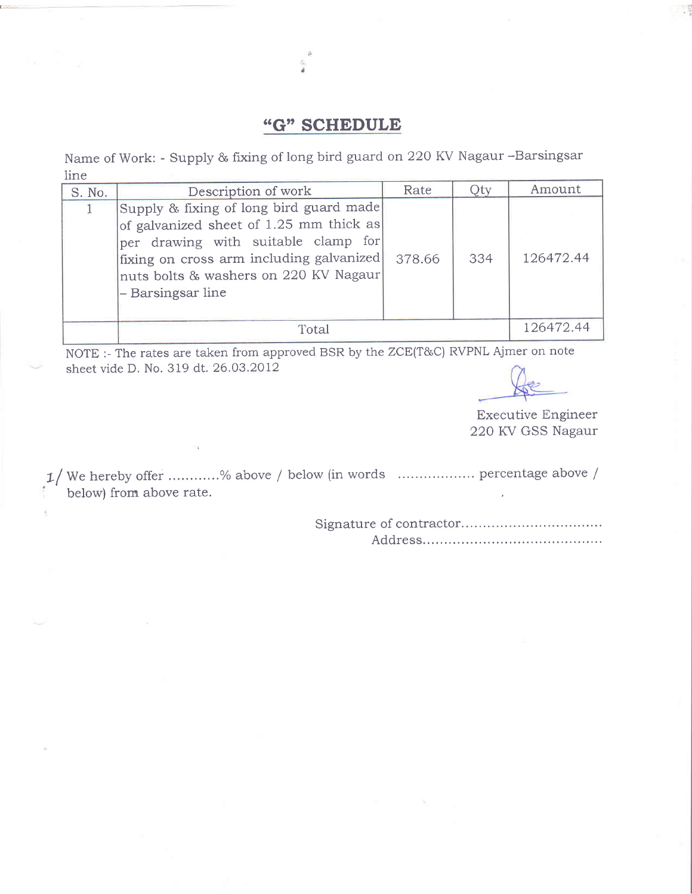## "G" SCHEDULE

Name of Work: - Supply & fixing of long bird guard on 220 KV Nagaur -Barsingsar line

| S. No. | Description of work                                                                                                                                                                                                                 | Rate   | Jty | Amount    |
|--------|-------------------------------------------------------------------------------------------------------------------------------------------------------------------------------------------------------------------------------------|--------|-----|-----------|
|        | Supply & fixing of long bird guard made<br>of galvanized sheet of 1.25 mm thick as<br>per drawing with suitable clamp for<br>fixing on cross arm including galvanized<br>nuts bolts & washers on 220 KV Nagaur<br>- Barsingsar line | 378.66 | 334 | 126472.44 |
|        | Total                                                                                                                                                                                                                               |        |     | 126472.44 |

NOTE :- The rates are taken from approved BSR by the ZCE(T&C) RVPNL Ajmer on note sheet vide D. No. 319 dt. 26.O3.2012

Executive Engineer 220 KV GSS Nagaur

tf We hereby offer . ...7o above / below (in words .. percentage above / below) from above rate.

> Signature of contractor... Address.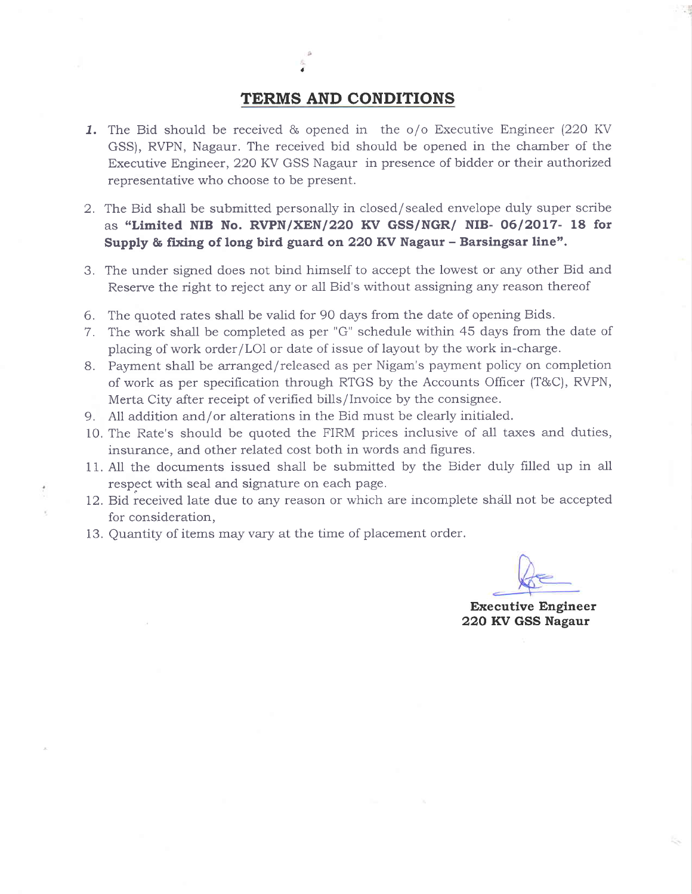## TERMS AND CONDITIONS

- 1. The Bid should be received & opened in the o/o Executive Engineer (22O KV GSS), RVPN, Nagaur. The received bid should be opened in the chamber of the Executive Engineer, 22O KV GSS Nagaur in presence of bidder or their authorized representative who choose to be present.
- 2. The Bid shall be submitted personally in closed/sealed envelope duly super scribe as "Limited NIB No. RVPN/XEN/220 KV GSS/NGR/ NIB- 06/2017- 18 for Supply & fixing of long bird guard on 220 KV Nagaur - Barsingsar line".
- 3. The under signed does not bind himself to accept the lowest or any other Bid and Reserve the right to reject any or all Bid's without assigning any reason thereof
- 6. The quoted rates sha1l be valid for 90 days from the date of opening Bids.
- 7. The work shall be completed as per "G" schedule within 45 days from the date of placing of work order/LOl or date of issue of layout by the work in-charge.
- 8. Payment shall be arranged/released as per Nigam's payment policy on completion of work as per specification through RTGS by the Accounts Officer (T&C), RVPN, Merta City after receipt of verified bills/lnvoice by the consignee.
- 9. Al1 addition and/or alterations in the Bid must be clearly initialed.
- 10, The Rate's should be quoted the FIRM prices inclusive of al1 taxes and duties, insurance, and other related cost both in words and figures.
- 11. All the documents issued shall be submitted by the Bider duly filled up in all respect with seal and signature on each page.
- 12. Bid received late due to any reason or which are incomplete shdll not be accepted for consideration,
- 13. Quantity of items may vary at the time of placement order.

Executive Engineer 22O RV GSS Nagaur